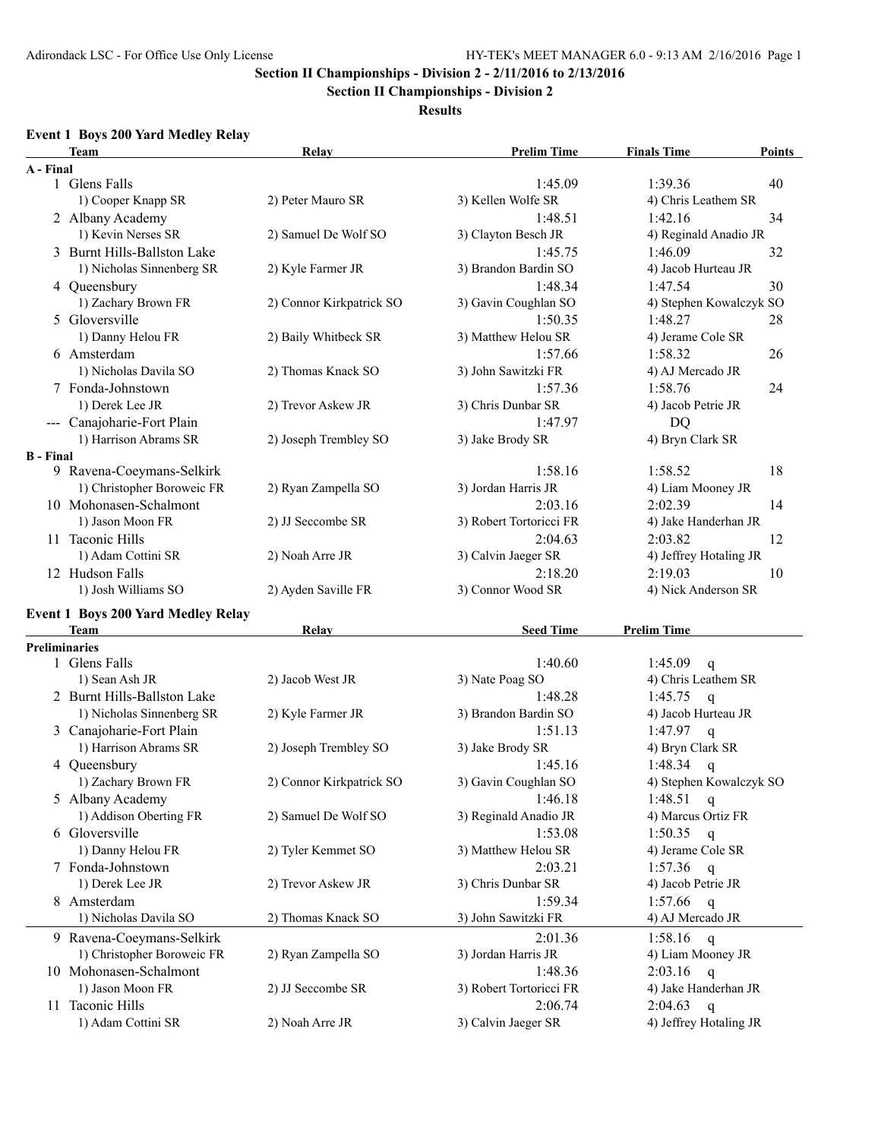**Section II Championships - Division 2**

**Results**

## **Event 1 Boys 200 Yard Medley Relay**

|                  | <b>Team</b>                               | Relay                    | <b>Prelim Time</b>      | <b>Finals Time</b><br>Points       |
|------------------|-------------------------------------------|--------------------------|-------------------------|------------------------------------|
| A - Final        |                                           |                          |                         |                                    |
|                  | 1 Glens Falls                             |                          | 1:45.09                 | 1:39.36<br>40                      |
|                  | 1) Cooper Knapp SR                        | 2) Peter Mauro SR        | 3) Kellen Wolfe SR      | 4) Chris Leathem SR                |
|                  | 2 Albany Academy                          |                          | 1:48.51                 | 1:42.16<br>34                      |
|                  | 1) Kevin Nerses SR                        | 2) Samuel De Wolf SO     | 3) Clayton Besch JR     | 4) Reginald Anadio JR              |
|                  | 3 Burnt Hills-Ballston Lake               |                          | 1:45.75                 | 1:46.09<br>32                      |
|                  | 1) Nicholas Sinnenberg SR                 | 2) Kyle Farmer JR        | 3) Brandon Bardin SO    | 4) Jacob Hurteau JR                |
|                  | 4 Queensbury                              |                          | 1:48.34                 | 30<br>1:47.54                      |
|                  | 1) Zachary Brown FR                       | 2) Connor Kirkpatrick SO | 3) Gavin Coughlan SO    | 4) Stephen Kowalczyk SO            |
|                  | 5 Gloversville                            |                          | 1:50.35                 | 1:48.27<br>28                      |
|                  | 1) Danny Helou FR                         | 2) Baily Whitbeck SR     | 3) Matthew Helou SR     | 4) Jerame Cole SR                  |
|                  | 6 Amsterdam                               |                          | 1:57.66                 | 1:58.32                            |
|                  |                                           |                          |                         | 26                                 |
|                  | 1) Nicholas Davila SO                     | 2) Thomas Knack SO       | 3) John Sawitzki FR     | 4) AJ Mercado JR                   |
|                  | 7 Fonda-Johnstown                         |                          | 1:57.36                 | 1:58.76<br>24                      |
|                  | 1) Derek Lee JR                           | 2) Trevor Askew JR       | 3) Chris Dunbar SR      | 4) Jacob Petrie JR                 |
|                  | --- Canajoharie-Fort Plain                |                          | 1:47.97                 | DQ                                 |
|                  | 1) Harrison Abrams SR                     | 2) Joseph Trembley SO    | 3) Jake Brody SR        | 4) Bryn Clark SR                   |
| <b>B</b> - Final |                                           |                          |                         |                                    |
|                  | 9 Ravena-Coeymans-Selkirk                 |                          | 1:58.16                 | 1:58.52<br>18                      |
|                  | 1) Christopher Boroweic FR                | 2) Ryan Zampella SO      | 3) Jordan Harris JR     | 4) Liam Mooney JR                  |
|                  | 10 Mohonasen-Schalmont                    |                          | 2:03.16                 | 2:02.39<br>14                      |
|                  | 1) Jason Moon FR                          | 2) JJ Seccombe SR        | 3) Robert Tortoricci FR | 4) Jake Handerhan JR               |
|                  | 11 Taconic Hills                          |                          | 2:04.63                 | 2:03.82<br>12                      |
|                  | 1) Adam Cottini SR                        | 2) Noah Arre JR          | 3) Calvin Jaeger SR     | 4) Jeffrey Hotaling JR             |
|                  | 12 Hudson Falls                           |                          | 2:18.20                 | 2:19.03<br>10                      |
|                  | 1) Josh Williams SO                       | 2) Ayden Saville FR      | 3) Connor Wood SR       | 4) Nick Anderson SR                |
|                  | <b>Event 1 Boys 200 Yard Medley Relay</b> |                          |                         |                                    |
|                  | <b>Team</b>                               | Relay                    | <b>Seed Time</b>        | <b>Prelim Time</b>                 |
|                  | Preliminaries                             |                          |                         |                                    |
|                  | 1 Glens Falls                             |                          | 1:40.60                 | 1:45.09<br>q                       |
|                  | 1) Sean Ash JR                            | 2) Jacob West JR         | 3) Nate Poag SO         | 4) Chris Leathem SR                |
|                  | 2 Burnt Hills-Ballston Lake               |                          | 1:48.28                 | 1:45.75<br>$\mathbf q$             |
|                  | 1) Nicholas Sinnenberg SR                 | 2) Kyle Farmer JR        | 3) Brandon Bardin SO    | 4) Jacob Hurteau JR                |
|                  | 3 Canajoharie-Fort Plain                  |                          | 1:51.13                 | 1:47.97<br>$\mathbf q$             |
|                  | 1) Harrison Abrams SR                     | 2) Joseph Trembley SO    | 3) Jake Brody SR        | 4) Bryn Clark SR                   |
|                  | 4 Queensbury                              |                          | 1:45.16                 | 1:48.34<br>$\mathbf q$             |
|                  | 1) Zachary Brown FR                       | 2) Connor Kirkpatrick SO | 3) Gavin Coughlan SO    | 4) Stephen Kowalczyk SO            |
|                  | 5 Albany Academy                          |                          | 1:46.18                 | 1:48.51                            |
|                  | 1) Addison Oberting FR                    | 2) Samuel De Wolf SO     | 3) Reginald Anadio JR   | $\mathsf{q}$<br>4) Marcus Ortiz FR |
|                  | 6 Gloversville                            |                          | 1:53.08                 |                                    |
|                  |                                           |                          | 3) Matthew Helou SR     | 1:50.35<br>q                       |
|                  | 1) Danny Helou FR                         | 2) Tyler Kemmet SO       |                         | 4) Jerame Cole SR                  |
|                  | 7 Fonda-Johnstown                         |                          | 2:03.21                 | 1:57.36<br>q                       |
|                  | 1) Derek Lee JR                           | 2) Trevor Askew JR       | 3) Chris Dunbar SR      | 4) Jacob Petrie JR                 |
|                  | 8 Amsterdam                               |                          | 1:59.34                 | 1:57.66<br>$\mathsf{q}$            |
|                  | 1) Nicholas Davila SO                     | 2) Thomas Knack SO       | 3) John Sawitzki FR     | 4) AJ Mercado JR                   |
|                  | 9 Ravena-Coeymans-Selkirk                 |                          | 2:01.36                 | 1:58.16<br>$\mathbf{q}$            |
|                  | 1) Christopher Boroweic FR                | 2) Ryan Zampella SO      | 3) Jordan Harris JR     | 4) Liam Mooney JR                  |
|                  | 10 Mohonasen-Schalmont                    |                          | 1:48.36                 | 2:03.16<br>$\mathbf q$             |
|                  | 1) Jason Moon FR                          | 2) JJ Seccombe SR        | 3) Robert Tortoricci FR | 4) Jake Handerhan JR               |
|                  | 11 Taconic Hills                          |                          | 2:06.74                 | 2:04.63<br>$\mathsf{q}$            |
|                  | 1) Adam Cottini SR                        | 2) Noah Arre JR          | 3) Calvin Jaeger SR     | 4) Jeffrey Hotaling JR             |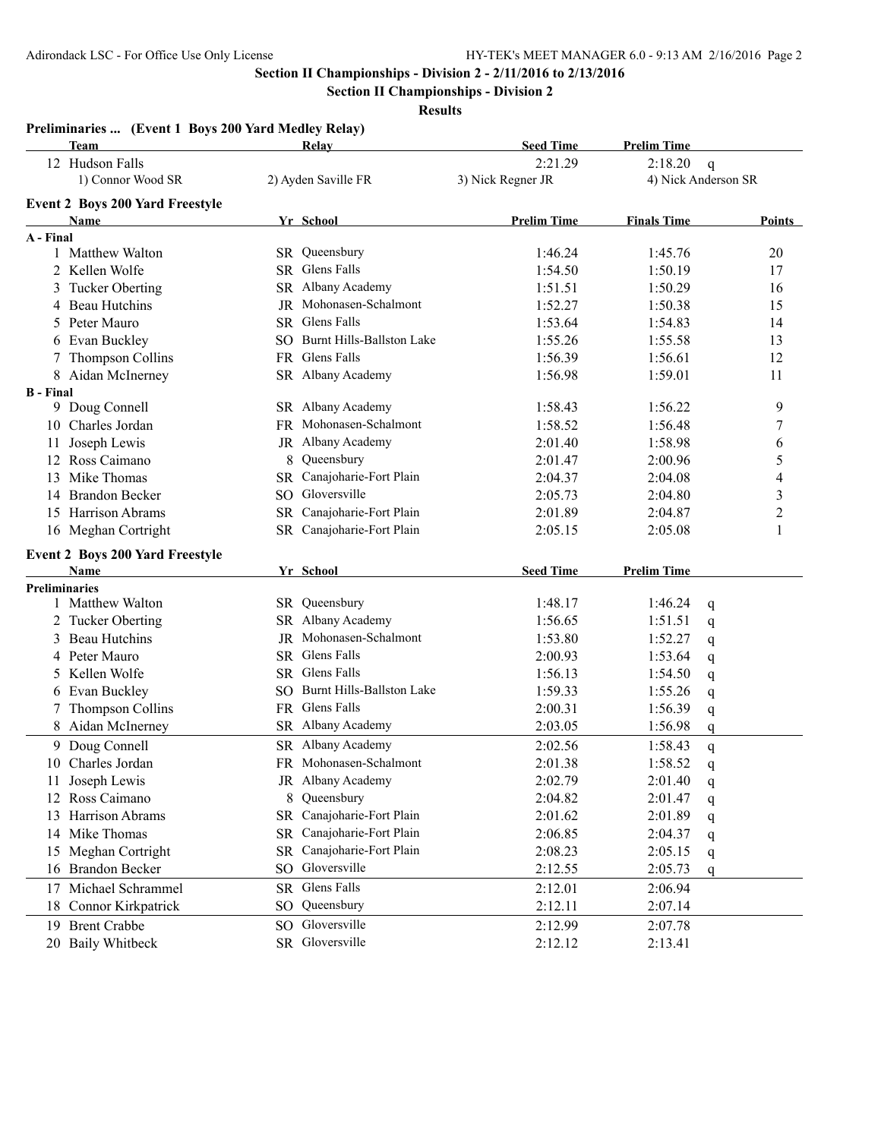**Section II Championships - Division 2**

**Results**

#### **Preliminaries ... (Event 1 Boys 200 Yard Medley Relay)**

|                      | <b>Team</b>                            |     | <b>Relay</b>                 | <b>Seed Time</b>   | <b>Prelim Time</b> |                     |                |
|----------------------|----------------------------------------|-----|------------------------------|--------------------|--------------------|---------------------|----------------|
|                      | 12 Hudson Falls                        |     |                              | 2:21.29            | 2:18.20            | $\mathbf q$         |                |
|                      | 1) Connor Wood SR                      |     | 2) Ayden Saville FR          | 3) Nick Regner JR  |                    | 4) Nick Anderson SR |                |
|                      | <b>Event 2 Boys 200 Yard Freestyle</b> |     |                              |                    |                    |                     |                |
|                      | Name                                   |     | Yr School                    | <b>Prelim Time</b> | <b>Finals Time</b> |                     | Points         |
| A - Final            |                                        |     |                              |                    |                    |                     |                |
|                      | 1 Matthew Walton                       |     | SR Queensbury                | 1:46.24            | 1:45.76            |                     | 20             |
|                      | 2 Kellen Wolfe                         |     | SR Glens Falls               | 1:54.50            | 1:50.19            |                     | 17             |
|                      | 3 Tucker Oberting                      |     | SR Albany Academy            | 1:51.51            | 1:50.29            |                     | 16             |
|                      | 4 Beau Hutchins                        |     | JR Mohonasen-Schalmont       | 1:52.27            | 1:50.38            |                     | 15             |
|                      | 5 Peter Mauro                          |     | SR Glens Falls               | 1:53.64            | 1:54.83            |                     | 14             |
|                      | 6 Evan Buckley                         |     | SO Burnt Hills-Ballston Lake | 1:55.26            | 1:55.58            |                     | 13             |
|                      | 7 Thompson Collins                     |     | FR Glens Falls               | 1:56.39            | 1:56.61            |                     | 12             |
|                      | 8 Aidan McInerney                      |     | SR Albany Academy            | 1:56.98            | 1:59.01            |                     | 11             |
| <b>B</b> - Final     |                                        |     |                              |                    |                    |                     |                |
|                      | 9 Doug Connell                         |     | SR Albany Academy            | 1:58.43            | 1:56.22            |                     | 9              |
|                      | 10 Charles Jordan                      |     | FR Mohonasen-Schalmont       | 1:58.52            | 1:56.48            |                     | 7              |
| 11                   | Joseph Lewis                           |     | JR Albany Academy            | 2:01.40            | 1:58.98            |                     | 6              |
|                      | 12 Ross Caimano                        |     | 8 Queensbury                 | 2:01.47            | 2:00.96            |                     | 5              |
|                      | 13 Mike Thomas                         |     | SR Canajoharie-Fort Plain    | 2:04.37            | 2:04.08            |                     | 4              |
|                      | 14 Brandon Becker                      |     | SO Gloversville              | 2:05.73            | 2:04.80            |                     | $\mathfrak{Z}$ |
|                      | 15 Harrison Abrams                     |     | SR Canajoharie-Fort Plain    | 2:01.89            | 2:04.87            |                     | $\overline{c}$ |
|                      | 16 Meghan Cortright                    |     | SR Canajoharie-Fort Plain    | 2:05.15            | 2:05.08            |                     | $\mathbf{1}$   |
|                      | <b>Event 2 Boys 200 Yard Freestyle</b> |     |                              |                    |                    |                     |                |
|                      | Name                                   |     | Yr School                    | <b>Seed Time</b>   | <b>Prelim Time</b> |                     |                |
| <b>Preliminaries</b> |                                        |     |                              |                    |                    |                     |                |
|                      | 1 Matthew Walton                       |     | SR Queensbury                | 1:48.17            | 1:46.24            | $\mathsf{q}$        |                |
|                      | 2 Tucker Oberting                      |     | SR Albany Academy            | 1:56.65            | 1:51.51            | q                   |                |
|                      | 3 Beau Hutchins                        |     | JR Mohonasen-Schalmont       | 1:53.80            | 1:52.27            | q                   |                |
|                      | 4 Peter Mauro                          |     | SR Glens Falls               | 2:00.93            | 1:53.64            | q                   |                |
|                      | 5 Kellen Wolfe                         |     | SR Glens Falls               | 1:56.13            | 1:54.50            | q                   |                |
|                      | 6 Evan Buckley                         |     | SO Burnt Hills-Ballston Lake | 1:59.33            | 1:55.26            | q                   |                |
|                      | 7 Thompson Collins                     |     | FR Glens Falls               | 2:00.31            | 1:56.39            | q                   |                |
|                      | 8 Aidan McInerney                      |     | SR Albany Academy            | 2:03.05            | 1:56.98            | q                   |                |
|                      | 9 Doug Connell                         |     | SR Albany Academy            | 2:02.56            | 1:58.43            | q                   |                |
|                      | 10 Charles Jordan                      |     | FR Mohonasen-Schalmont       | 2:01.38            | 1:58.52            | q                   |                |
|                      | 11 Joseph Lewis                        |     | JR Albany Academy            | 2:02.79            | 2:01.40            | $\mathbf{q}$        |                |
|                      | 12 Ross Caimano                        |     | 8 Queensbury                 | 2:04.82            | 2:01.47            | q                   |                |
|                      | 13 Harrison Abrams                     |     | SR Canajoharie-Fort Plain    | 2:01.62            | 2:01.89            | q                   |                |
|                      | 14 Mike Thomas                         | SR. | Canajoharie-Fort Plain       | 2:06.85            | 2:04.37            | q                   |                |
|                      | 15 Meghan Cortright                    |     | SR Canajoharie-Fort Plain    | 2:08.23            | 2:05.15            | q                   |                |
|                      | 16 Brandon Becker                      |     | SO Gloversville              | 2:12.55            | 2:05.73            | q                   |                |
|                      | 17 Michael Schrammel                   |     | SR Glens Falls               | 2:12.01            | 2:06.94            |                     |                |
| 18                   | Connor Kirkpatrick                     |     | SO Queensbury                | 2:12.11            | 2:07.14            |                     |                |
|                      | 19 Brent Crabbe                        |     | SO Gloversville              | 2:12.99            | 2:07.78            |                     |                |
|                      | 20 Baily Whitbeck                      |     | SR Gloversville              | 2:12.12            | 2:13.41            |                     |                |
|                      |                                        |     |                              |                    |                    |                     |                |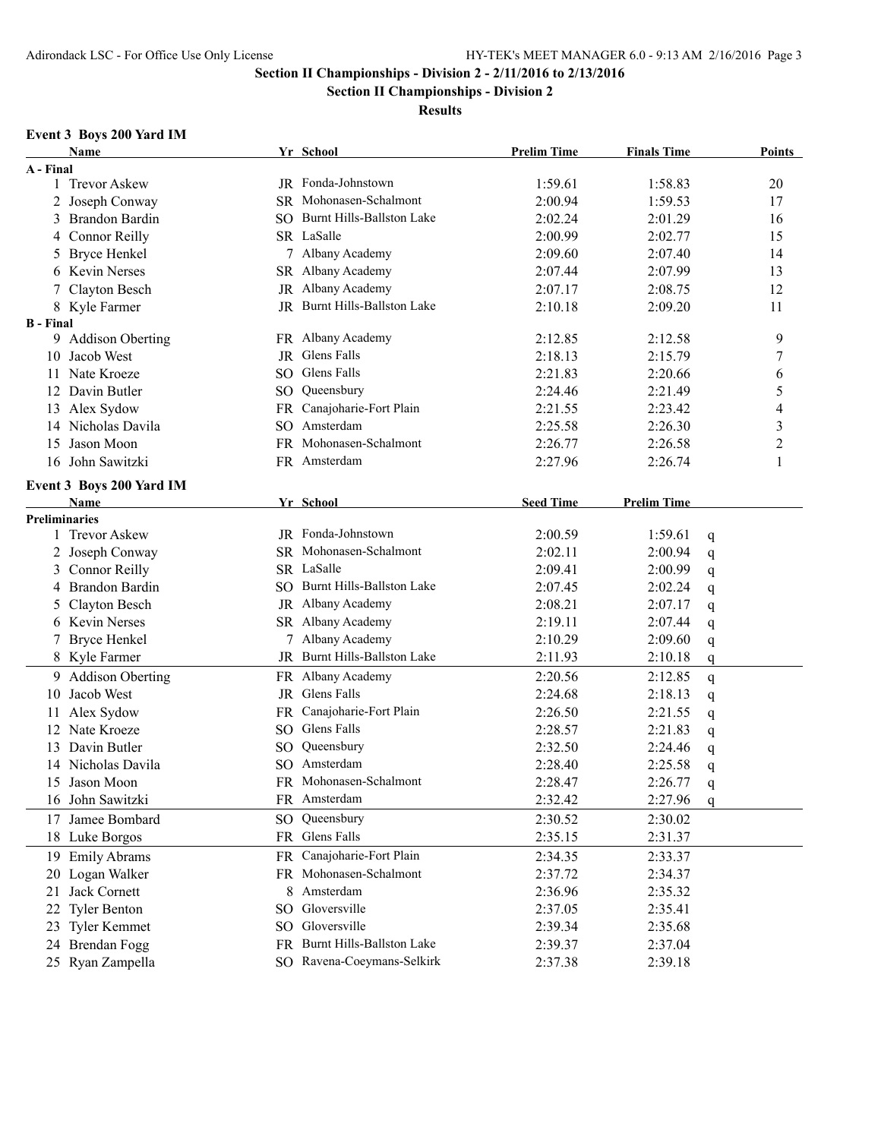**Section II Championships - Division 2**

**Results**

# **Event 3 Boys 200 Yard IM**

|                      | Name                     |     | Yr School                    | <b>Prelim Time</b> | <b>Finals Time</b>     | <b>Points</b>  |
|----------------------|--------------------------|-----|------------------------------|--------------------|------------------------|----------------|
| A - Final            |                          |     |                              |                    |                        |                |
|                      | 1 Trevor Askew           |     | JR Fonda-Johnstown           | 1:59.61            | 1:58.83                | 20             |
|                      | 2 Joseph Conway          |     | SR Mohonasen-Schalmont       | 2:00.94            | 1:59.53                | 17             |
|                      | 3 Brandon Bardin         |     | SO Burnt Hills-Ballston Lake | 2:02.24            | 2:01.29                | 16             |
|                      | 4 Connor Reilly          |     | SR LaSalle                   | 2:00.99            | 2:02.77                | 15             |
| 5                    | <b>Bryce Henkel</b>      |     | 7 Albany Academy             | 2:09.60            | 2:07.40                | 14             |
|                      | 6 Kevin Nerses           |     | SR Albany Academy            | 2:07.44            | 2:07.99                | 13             |
|                      | Clayton Besch            | JR  | Albany Academy               | 2:07.17            | 2:08.75                | 12             |
|                      | 8 Kyle Farmer            |     | JR Burnt Hills-Ballston Lake | 2:10.18            | 2:09.20                | 11             |
| <b>B</b> - Final     |                          |     |                              |                    |                        |                |
|                      | 9 Addison Oberting       |     | FR Albany Academy            | 2:12.85            | 2:12.58                | 9              |
|                      | 10 Jacob West            |     | JR Glens Falls               | 2:18.13            | 2:15.79                | 7              |
|                      | 11 Nate Kroeze           |     | SO Glens Falls               | 2:21.83            | 2:20.66                | 6              |
|                      | 12 Davin Butler          |     | SO Queensbury                | 2:24.46            | 2:21.49                | 5              |
|                      | 13 Alex Sydow            |     | FR Canajoharie-Fort Plain    | 2:21.55            | 2:23.42                | 4              |
|                      | 14 Nicholas Davila       | SO. | Amsterdam                    | 2:25.58            | 2:26.30                | 3              |
| 15                   | Jason Moon               |     | FR Mohonasen-Schalmont       | 2:26.77            | 2:26.58                | $\overline{c}$ |
|                      | 16 John Sawitzki         |     | FR Amsterdam                 | 2:27.96            | 2:26.74                | 1              |
|                      | Event 3 Boys 200 Yard IM |     |                              |                    |                        |                |
|                      | Name                     |     | Yr School                    | <b>Seed Time</b>   | <b>Prelim Time</b>     |                |
| <b>Preliminaries</b> |                          |     |                              |                    |                        |                |
|                      | 1 Trevor Askew           |     | JR Fonda-Johnstown           | 2:00.59            | 1:59.61<br>q           |                |
|                      | 2 Joseph Conway          |     | SR Mohonasen-Schalmont       | 2:02.11            | 2:00.94<br>q           |                |
|                      | 3 Connor Reilly          |     | SR LaSalle                   | 2:09.41            | 2:00.99<br>q           |                |
|                      | 4 Brandon Bardin         |     | SO Burnt Hills-Ballston Lake | 2:07.45            | 2:02.24<br>q           |                |
|                      | 5 Clayton Besch          |     | JR Albany Academy            | 2:08.21            | 2:07.17<br>q           |                |
|                      | 6 Kevin Nerses           |     | SR Albany Academy            | 2:19.11            | 2:07.44<br>q           |                |
|                      | <b>Bryce Henkel</b>      |     | Albany Academy               | 2:10.29            | 2:09.60<br>q           |                |
|                      | 8 Kyle Farmer            |     | JR Burnt Hills-Ballston Lake | 2:11.93            | 2:10.18<br>q           |                |
|                      | 9 Addison Oberting       |     | FR Albany Academy            | 2:20.56            | 2:12.85                |                |
| 10                   | Jacob West               |     | JR Glens Falls               | 2:24.68            | q<br>2:18.13           |                |
| 11                   | Alex Sydow               | FR  | Canajoharie-Fort Plain       | 2:26.50            | q<br>2:21.55           |                |
|                      | 12 Nate Kroeze           |     | SO Glens Falls               | 2:28.57            | q<br>2:21.83           |                |
|                      | 13 Davin Butler          |     | SO Queensbury                | 2:32.50            | q<br>2:24.46           |                |
|                      | Nicholas Davila          | SO. | Amsterdam                    | 2:28.40            | q<br>2:25.58           |                |
| 14                   | 15 Jason Moon            |     | FR Mohonasen-Schalmont       | 2:28.47            | $\mathbf q$<br>2:26.77 |                |
|                      |                          |     |                              |                    | q                      |                |
|                      | 16 John Sawitzki         |     | FR Amsterdam                 | 2:32.42            | 2:27.96<br>q           |                |
|                      | 17 Jamee Bombard         |     | SO Queensbury                | 2:30.52            | 2:30.02                |                |
|                      | 18 Luke Borgos           |     | FR Glens Falls               | 2:35.15            | 2:31.37                |                |
| 19                   | <b>Emily Abrams</b>      |     | FR Canajoharie-Fort Plain    | 2:34.35            | 2:33.37                |                |
|                      | 20 Logan Walker          |     | FR Mohonasen-Schalmont       | 2:37.72            | 2:34.37                |                |
| 21                   | Jack Cornett             |     | 8 Amsterdam                  | 2:36.96            | 2:35.32                |                |
| 22                   | <b>Tyler Benton</b>      |     | SO Gloversville              | 2:37.05            | 2:35.41                |                |
| 23                   | Tyler Kemmet             |     | SO Gloversville              | 2:39.34            | 2:35.68                |                |
|                      | 24 Brendan Fogg          |     | FR Burnt Hills-Ballston Lake | 2:39.37            | 2:37.04                |                |
|                      | 25 Ryan Zampella         |     | SO Ravena-Coeymans-Selkirk   | 2:37.38            | 2:39.18                |                |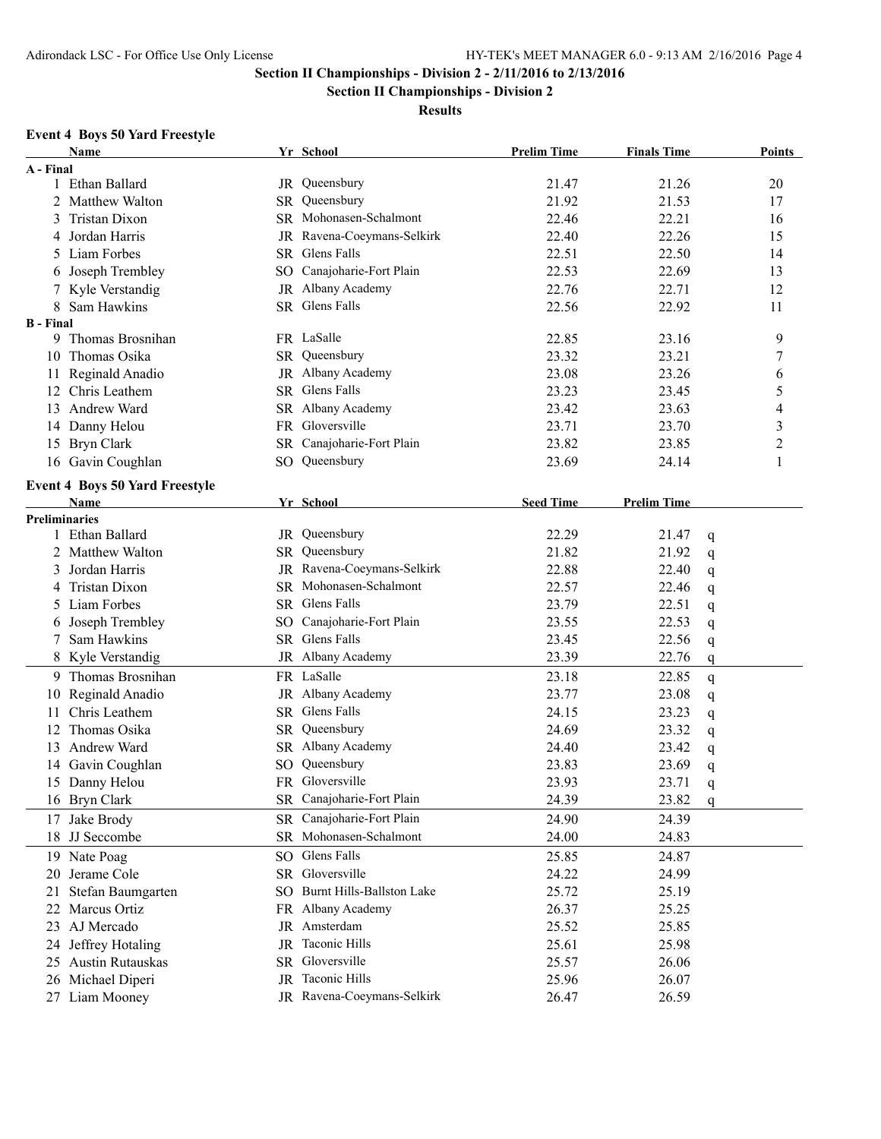**Section II Championships - Division 2**

### **Results**

## **Event 4 Boys 50 Yard Freestyle**

|                  | Name                                  |    | Yr School                    | <b>Prelim Time</b> | <b>Finals Time</b>   | Points         |
|------------------|---------------------------------------|----|------------------------------|--------------------|----------------------|----------------|
| A - Final        |                                       |    |                              |                    |                      |                |
|                  | 1 Ethan Ballard                       |    | JR Queensbury                | 21.47              | 21.26                | 20             |
|                  | 2 Matthew Walton                      |    | SR Queensbury                | 21.92              | 21.53                | 17             |
| 3                | Tristan Dixon                         |    | SR Mohonasen-Schalmont       | 22.46              | 22.21                | 16             |
| 4                | Jordan Harris                         |    | JR Ravena-Coeymans-Selkirk   | 22.40              | 22.26                | 15             |
|                  | 5 Liam Forbes                         |    | SR Glens Falls               | 22.51              | 22.50                | 14             |
| 6                | Joseph Trembley                       |    | SO Canajoharie-Fort Plain    | 22.53              | 22.69                | 13             |
|                  | 7 Kyle Verstandig                     |    | JR Albany Academy            | 22.76              | 22.71                | 12             |
|                  | 8 Sam Hawkins                         |    | SR Glens Falls               | 22.56              | 22.92                | 11             |
| <b>B</b> - Final |                                       |    |                              |                    |                      |                |
| 9.               | Thomas Brosnihan                      |    | FR LaSalle                   | 22.85              | 23.16                | 9              |
|                  | 10 Thomas Osika                       |    | SR Queensbury                | 23.32              | 23.21                | 7              |
|                  | 11 Reginald Anadio                    |    | JR Albany Academy            | 23.08              | 23.26                | 6              |
|                  | 12 Chris Leathem                      |    | SR Glens Falls               | 23.23              | 23.45                | 5              |
|                  | 13 Andrew Ward                        |    | SR Albany Academy            | 23.42              | 23.63                | 4              |
|                  | 14 Danny Helou                        |    | FR Gloversville              | 23.71              | 23.70                | 3              |
|                  | 15 Bryn Clark                         |    | SR Canajoharie-Fort Plain    | 23.82              | 23.85                | $\overline{2}$ |
|                  | 16 Gavin Coughlan                     |    | SO Queensbury                | 23.69              | 24.14                | 1              |
|                  |                                       |    |                              |                    |                      |                |
|                  | <b>Event 4 Boys 50 Yard Freestyle</b> |    |                              |                    |                      |                |
|                  | Name                                  |    | Yr School                    | <b>Seed Time</b>   | <b>Prelim Time</b>   |                |
| Preliminaries    | 1 Ethan Ballard                       |    | JR Queensbury                | 22.29              | 21.47                |                |
|                  | 2 Matthew Walton                      |    | SR Queensbury                | 21.82              | q<br>21.92           |                |
|                  | 3 Jordan Harris                       |    | JR Ravena-Coeymans-Selkirk   | 22.88              | q<br>22.40           |                |
|                  | 4 Tristan Dixon                       |    | SR Mohonasen-Schalmont       | 22.57              | q<br>22.46           |                |
|                  |                                       |    | SR Glens Falls               |                    | q                    |                |
|                  | 5 Liam Forbes                         |    |                              | 23.79              | 22.51<br>q           |                |
| 6                | Joseph Trembley                       |    | SO Canajoharie-Fort Plain    | 23.55              | 22.53<br>q           |                |
| 7                | Sam Hawkins                           | SR | Glens Falls                  | 23.45              | 22.56<br>q           |                |
|                  | 8 Kyle Verstandig                     |    | JR Albany Academy            | 23.39              | 22.76<br>q           |                |
|                  | 9 Thomas Brosnihan                    |    | FR LaSalle                   | 23.18              | 22.85<br>q           |                |
| 10               | Reginald Anadio                       |    | JR Albany Academy            | 23.77              | 23.08<br>$\mathbf q$ |                |
| 11               | Chris Leathem                         |    | SR Glens Falls               | 24.15              | 23.23<br>$\mathbf q$ |                |
| 12               | Thomas Osika                          |    | SR Queensbury                | 24.69              | 23.32<br>q           |                |
|                  | 13 Andrew Ward                        |    | SR Albany Academy            | 24.40              | 23.42<br>$\mathbf q$ |                |
|                  | 14 Gavin Coughlan                     | SO | Queensbury                   | 23.83              | 23.69<br>$\mathbf q$ |                |
|                  | 15 Danny Helou                        |    | FR Gloversville              | 23.93              | 23.71<br>q           |                |
|                  | 16 Bryn Clark                         |    | SR Canajoharie-Fort Plain    | 24.39              | 23.82<br>q           |                |
|                  | 17 Jake Brody                         |    | SR Canajoharie-Fort Plain    | 24.90              | 24.39                |                |
|                  | 18 JJ Seccombe                        |    | SR Mohonasen-Schalmont       | 24.00              | 24.83                |                |
|                  | 19 Nate Poag                          |    | SO Glens Falls               | 25.85              | 24.87                |                |
| 20               | Jerame Cole                           |    | SR Gloversville              | 24.22              | 24.99                |                |
| 21.              | Stefan Baumgarten                     |    | SO Burnt Hills-Ballston Lake | 25.72              | 25.19                |                |
|                  | 22 Marcus Ortiz                       |    | FR Albany Academy            | 26.37              | 25.25                |                |
|                  | 23 AJ Mercado                         |    | JR Amsterdam                 | 25.52              | 25.85                |                |
|                  | 24 Jeffrey Hotaling                   |    | JR Taconic Hills             | 25.61              | 25.98                |                |
|                  | 25 Austin Rutauskas                   |    | SR Gloversville              | 25.57              | 26.06                |                |
|                  | 26 Michael Diperi                     |    | JR Taconic Hills             | 25.96              | 26.07                |                |
|                  | 27 Liam Mooney                        |    | JR Ravena-Coeymans-Selkirk   | 26.47              | 26.59                |                |
|                  |                                       |    |                              |                    |                      |                |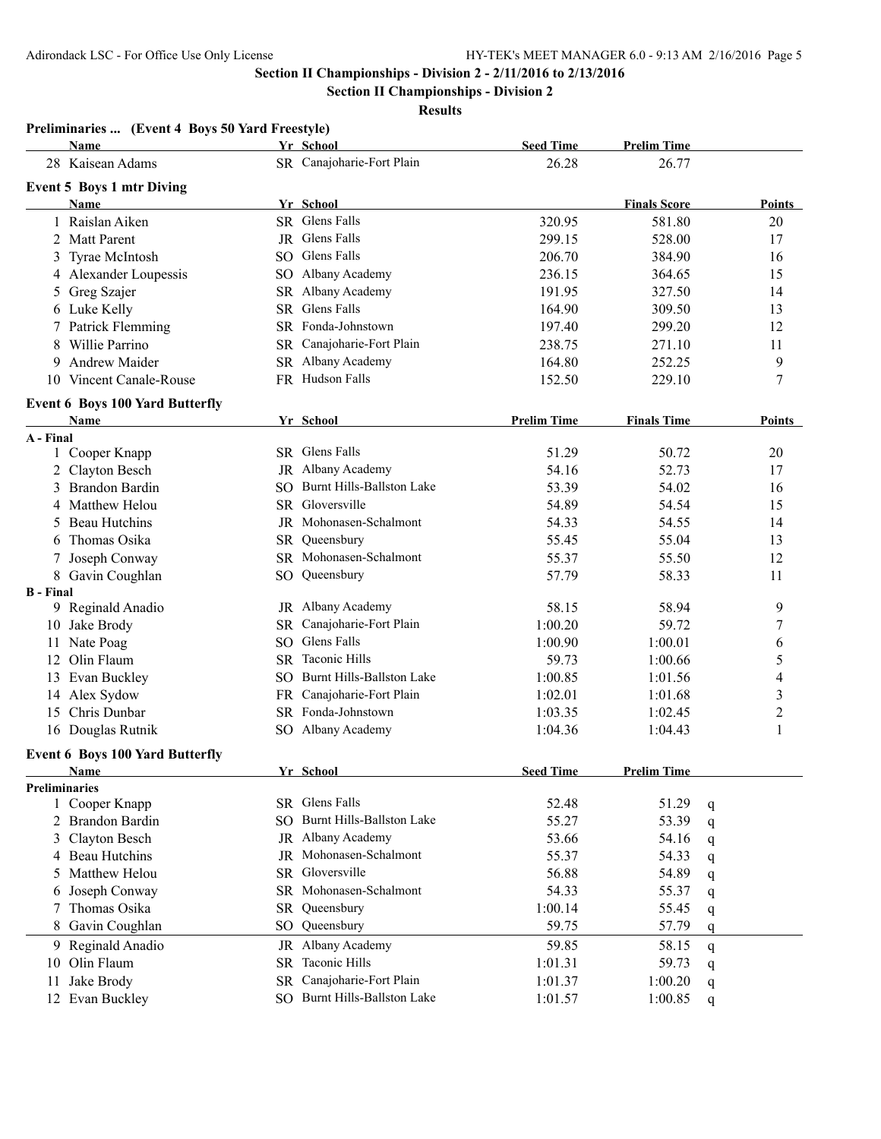**Section II Championships - Division 2**

**Results**

|                  | <b>Name</b>                                    |           | Yr School                    | <b>Seed Time</b>   | <b>Prelim Time</b>  |                  |
|------------------|------------------------------------------------|-----------|------------------------------|--------------------|---------------------|------------------|
|                  | 28 Kaisean Adams                               |           | SR Canajoharie-Fort Plain    | 26.28              | 26.77               |                  |
|                  | <b>Event 5 Boys 1 mtr Diving</b>               |           |                              |                    |                     |                  |
|                  | Name                                           |           | Yr School                    |                    | <b>Finals Score</b> | Points           |
|                  | 1 Raislan Aiken                                |           | SR Glens Falls               | 320.95             | 581.80              | 20               |
|                  | 2 Matt Parent                                  |           | JR Glens Falls               | 299.15             | 528.00              | 17               |
|                  | 3 Tyrae McIntosh                               |           | SO Glens Falls               | 206.70             | 384.90              | 16               |
|                  | 4 Alexander Loupessis                          |           | SO Albany Academy            | 236.15             | 364.65              | 15               |
|                  | 5 Greg Szajer                                  |           | SR Albany Academy            | 191.95             | 327.50              | 14               |
|                  | 6 Luke Kelly                                   |           | SR Glens Falls               | 164.90             | 309.50              | 13               |
|                  | 7 Patrick Flemming                             |           | SR Fonda-Johnstown           | 197.40             | 299.20              | 12               |
| 8                | Willie Parrino                                 |           | SR Canajoharie-Fort Plain    | 238.75             | 271.10              | 11               |
| 9                | Andrew Maider                                  |           | SR Albany Academy            | 164.80             | 252.25              | 9                |
|                  | 10 Vincent Canale-Rouse                        |           | FR Hudson Falls              | 152.50             | 229.10              | $\sqrt{ }$       |
|                  |                                                |           |                              |                    |                     |                  |
|                  | <b>Event 6 Boys 100 Yard Butterfly</b><br>Name |           | Yr School                    | <b>Prelim Time</b> | <b>Finals Time</b>  | <b>Points</b>    |
| A - Final        |                                                |           |                              |                    |                     |                  |
|                  | 1 Cooper Knapp                                 |           | SR Glens Falls               | 51.29              | 50.72               | 20               |
|                  | 2 Clayton Besch                                |           | JR Albany Academy            | 54.16              | 52.73               | 17               |
|                  | 3 Brandon Bardin                               |           | SO Burnt Hills-Ballston Lake | 53.39              | 54.02               | 16               |
|                  | 4 Matthew Helou                                |           | SR Gloversville              | 54.89              | 54.54               | 15               |
|                  | 5 Beau Hutchins                                |           | JR Mohonasen-Schalmont       | 54.33              | 54.55               | 14               |
| 6                | Thomas Osika                                   | SR.       | Queensbury                   | 55.45              | 55.04               | 13               |
|                  | Joseph Conway                                  |           | SR Mohonasen-Schalmont       | 55.37              | 55.50               | 12               |
|                  | 8 Gavin Coughlan                               |           | SO Queensbury                | 57.79              | 58.33               | 11               |
| <b>B</b> - Final |                                                |           |                              |                    |                     |                  |
|                  | 9 Reginald Anadio                              |           | JR Albany Academy            | 58.15              | 58.94               | 9                |
|                  | 10 Jake Brody                                  | SR.       | Canajoharie-Fort Plain       | 1:00.20            | 59.72               | 7                |
|                  | 11 Nate Poag                                   | SO        | Glens Falls                  | 1:00.90            | 1:00.01             | 6                |
|                  | 12 Olin Flaum                                  | <b>SR</b> | <b>Taconic Hills</b>         | 59.73              | 1:00.66             | 5                |
|                  | 13 Evan Buckley                                |           | SO Burnt Hills-Ballston Lake | 1:00.85            | 1:01.56             | 4                |
|                  | 14 Alex Sydow                                  | FR.       | Canajoharie-Fort Plain       | 1:02.01            | 1:01.68             | 3                |
| 15               | Chris Dunbar                                   |           | SR Fonda-Johnstown           | 1:03.35            | 1:02.45             | $\overline{c}$   |
|                  | 16 Douglas Rutnik                              |           | SO Albany Academy            | 1:04.36            | 1:04.43             | 1                |
|                  |                                                |           |                              |                    |                     |                  |
|                  | <b>Event 6 Boys 100 Yard Butterfly</b>         |           |                              |                    | <b>Prelim Time</b>  |                  |
| Preliminaries    | Name                                           |           | Yr School                    | <b>Seed Time</b>   |                     |                  |
| 1                | Cooper Knapp                                   |           | SR Glens Falls               | 52.48              | 51.29               | q                |
|                  | 2 Brandon Bardin                               |           | SO Burnt Hills-Ballston Lake | 55.27              | 53.39               | q                |
|                  | 3 Clayton Besch                                |           | JR Albany Academy            | 53.66              | 54.16               | q                |
|                  | 4 Beau Hutchins                                | JR        | Mohonasen-Schalmont          | 55.37              | 54.33               | q                |
| 5                | Matthew Helou                                  |           | SR Gloversville              | 56.88              | 54.89               | q                |
| 6                | Joseph Conway                                  |           | SR Mohonasen-Schalmont       | 54.33              | 55.37               | q                |
|                  | Thomas Osika                                   | SR        | Queensbury                   | 1:00.14            | 55.45               | q                |
|                  | 8 Gavin Coughlan                               | SO.       | Queensbury                   | 59.75              | 57.79               | q                |
|                  | 9 Reginald Anadio                              | JR        | Albany Academy               | 59.85              | 58.15               |                  |
| 10               | Olin Flaum                                     | SR.       | Taconic Hills                | 1:01.31            | 59.73               | q                |
| 11               | Jake Brody                                     | SR.       | Canajoharie-Fort Plain       | 1:01.37            | 1:00.20             | q                |
|                  | 12 Evan Buckley                                |           | SO Burnt Hills-Ballston Lake | 1:01.57            | 1:00.85             | q<br>$\mathbf q$ |
|                  |                                                |           |                              |                    |                     |                  |

### **Preliminaries ... (Event 4 Boys 50 Yard Freestyle)**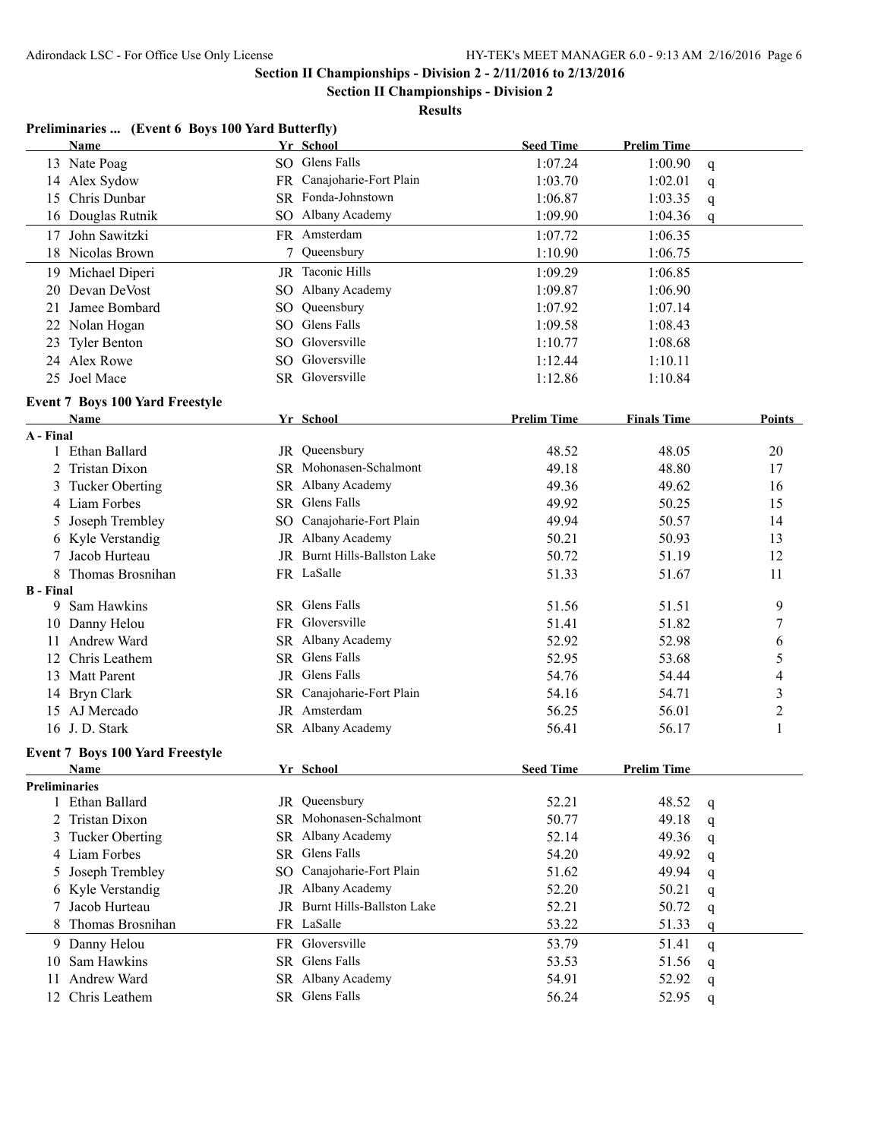**Section II Championships - Division 2**

|                      | Preliminaries  (Event 6 Boys 100 Yard Butterfly)      |     |                              |                    |                    |                         |
|----------------------|-------------------------------------------------------|-----|------------------------------|--------------------|--------------------|-------------------------|
|                      | <b>Name</b>                                           |     | Yr School                    | <b>Seed Time</b>   | <b>Prelim Time</b> |                         |
|                      | 13 Nate Poag                                          |     | SO Glens Falls               | 1:07.24            | 1:00.90            | q                       |
|                      | 14 Alex Sydow                                         |     | FR Canajoharie-Fort Plain    | 1:03.70            | 1:02.01            | q                       |
|                      | 15 Chris Dunbar                                       |     | SR Fonda-Johnstown           | 1:06.87            | 1:03.35            | q                       |
|                      | 16 Douglas Rutnik                                     |     | SO Albany Academy            | 1:09.90            | 1:04.36            | q                       |
|                      | 17 John Sawitzki                                      |     | FR Amsterdam                 | 1:07.72            | 1:06.35            |                         |
|                      | 18 Nicolas Brown                                      | 7   | Queensbury                   | 1:10.90            | 1:06.75            |                         |
|                      | 19 Michael Diperi                                     |     | JR Taconic Hills             | 1:09.29            | 1:06.85            |                         |
|                      | 20 Devan DeVost                                       |     | SO Albany Academy            | 1:09.87            | 1:06.90            |                         |
|                      | 21 Jamee Bombard                                      | SO. | Queensbury                   | 1:07.92            | 1:07.14            |                         |
|                      | 22 Nolan Hogan                                        |     | SO Glens Falls               | 1:09.58            | 1:08.43            |                         |
|                      | 23 Tyler Benton                                       |     | SO Gloversville              | 1:10.77            | 1:08.68            |                         |
|                      | 24 Alex Rowe                                          |     | SO Gloversville              | 1:12.44            | 1:10.11            |                         |
|                      | 25 Joel Mace                                          |     | SR Gloversville              | 1:12.86            | 1:10.84            |                         |
|                      | <b>Event 7 Boys 100 Yard Freestyle</b>                |     |                              |                    |                    |                         |
|                      | Name                                                  |     | Yr School                    | <b>Prelim Time</b> | <b>Finals Time</b> | Points                  |
| A - Final            |                                                       |     |                              |                    |                    |                         |
|                      | 1 Ethan Ballard                                       |     | JR Queensbury                | 48.52              | 48.05              | 20                      |
|                      | 2 Tristan Dixon                                       |     | SR Mohonasen-Schalmont       | 49.18              | 48.80              | 17                      |
|                      | 3 Tucker Oberting                                     |     | SR Albany Academy            | 49.36              | 49.62              | 16                      |
|                      | 4 Liam Forbes                                         |     | SR Glens Falls               | 49.92              | 50.25              | 15                      |
|                      | 5 Joseph Trembley                                     |     | SO Canajoharie-Fort Plain    | 49.94              | 50.57              | 14                      |
|                      | 6 Kyle Verstandig                                     |     | JR Albany Academy            | 50.21              | 50.93              | 13                      |
|                      | 7 Jacob Hurteau                                       |     | JR Burnt Hills-Ballston Lake | 50.72              | 51.19              | 12                      |
|                      | 8 Thomas Brosnihan                                    |     | FR LaSalle                   | 51.33              | 51.67              | 11                      |
| <b>B</b> - Final     |                                                       |     |                              |                    |                    |                         |
| 9.                   | Sam Hawkins                                           |     | SR Glens Falls               | 51.56              | 51.51              | 9                       |
|                      | 10 Danny Helou                                        |     | FR Gloversville              | 51.41              | 51.82              | 7                       |
|                      | 11 Andrew Ward                                        |     | SR Albany Academy            | 52.92              | 52.98              | 6                       |
|                      | 12 Chris Leathem                                      |     | SR Glens Falls               | 52.95              | 53.68              | 5                       |
|                      | 13 Matt Parent                                        |     | JR Glens Falls               | 54.76              | 54.44              | 4                       |
|                      | 14 Bryn Clark                                         |     | SR Canajoharie-Fort Plain    | 54.16              | 54.71              | $\overline{\mathbf{3}}$ |
|                      | 15 AJ Mercado                                         |     | JR Amsterdam                 | 56.25              | 56.01              | $\overline{c}$          |
|                      | 16 J.D. Stark                                         |     | SR Albany Academy            | 56.41              | 56.17              | 1                       |
|                      |                                                       |     |                              |                    |                    |                         |
|                      | <b>Event 7 Boys 100 Yard Freestyle</b><br><u>Name</u> |     | Yr School                    | <b>Seed Time</b>   | <b>Prelim Time</b> |                         |
| <b>Preliminaries</b> |                                                       |     |                              |                    |                    |                         |
|                      | 1 Ethan Ballard                                       |     | JR Queensbury                | 52.21              | 48.52              | q                       |
|                      | 2 Tristan Dixon                                       |     | SR Mohonasen-Schalmont       | 50.77              | 49.18              | q                       |
| 3                    | <b>Tucker Oberting</b>                                |     | SR Albany Academy            | 52.14              | 49.36              | q                       |
|                      | 4 Liam Forbes                                         |     | SR Glens Falls               | 54.20              | 49.92              | q                       |
|                      | 5 Joseph Trembley                                     |     | SO Canajoharie-Fort Plain    | 51.62              | 49.94              | q                       |
|                      | 6 Kyle Verstandig                                     |     | JR Albany Academy            | 52.20              | 50.21              | q                       |
|                      | Jacob Hurteau                                         |     | JR Burnt Hills-Ballston Lake | 52.21              | 50.72              | q                       |
| 8                    | Thomas Brosnihan                                      |     | FR LaSalle                   | 53.22              | 51.33              | q                       |
|                      | 9 Danny Helou                                         |     | FR Gloversville              | 53.79              | 51.41              |                         |
|                      | Sam Hawkins                                           |     | SR Glens Falls               | 53.53              | 51.56              | q                       |
| 10                   | Andrew Ward                                           |     | SR Albany Academy            | 54.91              |                    | q                       |
| 11                   |                                                       |     | SR Glens Falls               |                    | 52.92              | q                       |
|                      | 12 Chris Leathem                                      |     |                              | 56.24              | 52.95              | q                       |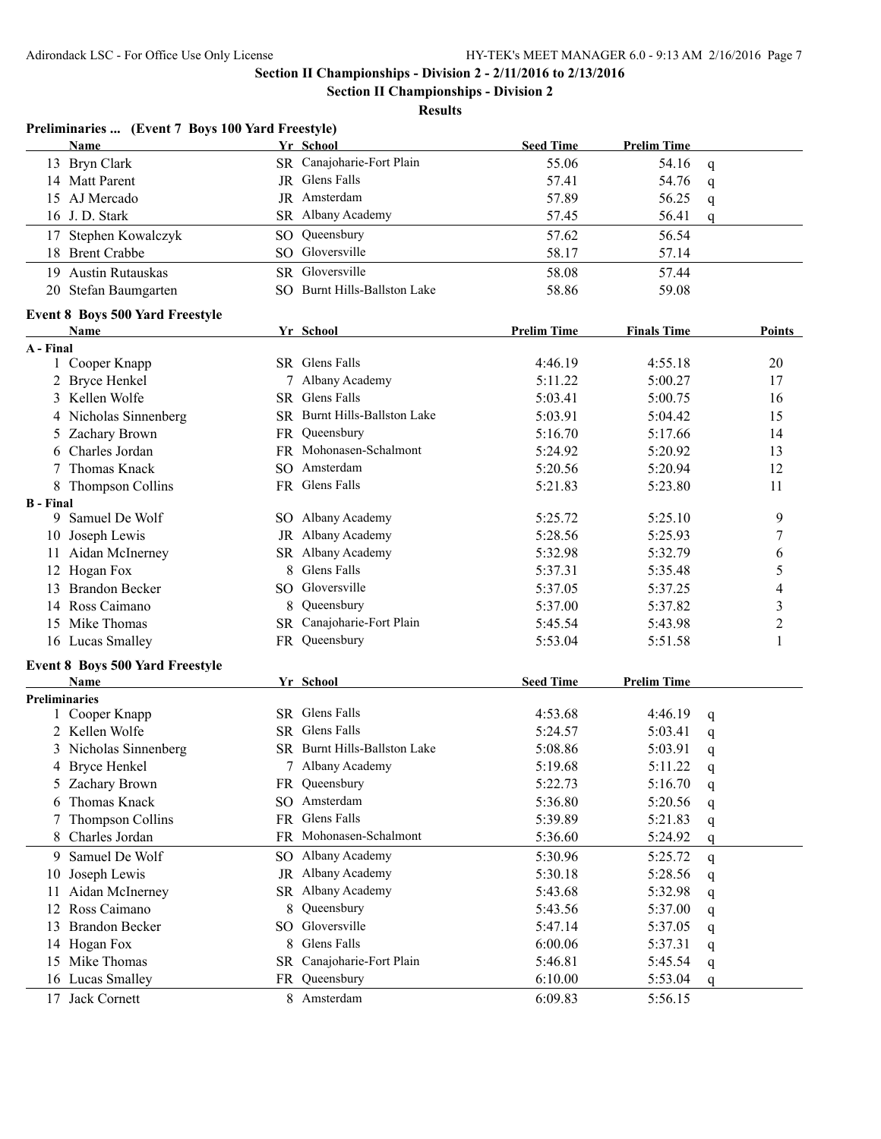**Section II Championships - Division 2**

| Preliminaries  (Event 7 Boys 100 Yard Freestyle) |     |                              |                    |                    |              |                         |
|--------------------------------------------------|-----|------------------------------|--------------------|--------------------|--------------|-------------------------|
| Name                                             |     | Yr School                    | <b>Seed Time</b>   | <b>Prelim Time</b> |              |                         |
| 13 Bryn Clark                                    |     | SR Canajoharie-Fort Plain    | 55.06              | 54.16              | q            |                         |
| 14 Matt Parent                                   |     | JR Glens Falls               | 57.41              | 54.76              | q            |                         |
| 15 AJ Mercado                                    |     | JR Amsterdam                 | 57.89              | 56.25              | q            |                         |
| 16 J.D. Stark                                    |     | SR Albany Academy            | 57.45              | 56.41              | q            |                         |
| 17 Stephen Kowalczyk                             |     | SO Queensbury                | 57.62              | 56.54              |              |                         |
| 18 Brent Crabbe                                  |     | SO Gloversville              | 58.17              | 57.14              |              |                         |
| 19 Austin Rutauskas                              |     | SR Gloversville              | 58.08              | 57.44              |              |                         |
| 20 Stefan Baumgarten                             |     | SO Burnt Hills-Ballston Lake | 58.86              | 59.08              |              |                         |
|                                                  |     |                              |                    |                    |              |                         |
| <b>Event 8 Boys 500 Yard Freestyle</b><br>Name   |     | Yr School                    | <b>Prelim Time</b> | <b>Finals Time</b> |              | Points                  |
| A - Final                                        |     |                              |                    |                    |              |                         |
| Cooper Knapp<br>$\mathbf{1}$                     |     | SR Glens Falls               | 4:46.19            | 4:55.18            |              | 20                      |
| 2 Bryce Henkel                                   |     | 7 Albany Academy             | 5:11.22            | 5:00.27            |              | 17                      |
| 3 Kellen Wolfe                                   |     | SR Glens Falls               | 5:03.41            | 5:00.75            |              | 16                      |
| 4 Nicholas Sinnenberg                            |     | SR Burnt Hills-Ballston Lake | 5:03.91            | 5:04.42            |              | 15                      |
| 5 Zachary Brown                                  |     | FR Queensbury                | 5:16.70            | 5:17.66            |              | 14                      |
| 6 Charles Jordan                                 |     | FR Mohonasen-Schalmont       | 5:24.92            | 5:20.92            |              | 13                      |
| Thomas Knack<br>7                                |     | SO Amsterdam                 | 5:20.56            | 5:20.94            |              | 12                      |
| 8 Thompson Collins                               |     | FR Glens Falls               | 5:21.83            | 5:23.80            |              | 11                      |
| <b>B</b> - Final                                 |     |                              |                    |                    |              |                         |
| Samuel De Wolf<br>9.                             |     | SO Albany Academy            | 5:25.72            | 5:25.10            |              | 9                       |
| 10 Joseph Lewis                                  |     | JR Albany Academy            | 5:28.56            | 5:25.93            |              | 7                       |
| 11 Aidan McInerney                               |     | SR Albany Academy            | 5:32.98            | 5:32.79            |              | 6                       |
| 12 Hogan Fox                                     |     | 8 Glens Falls                | 5:37.31            | 5:35.48            |              | 5                       |
| 13 Brandon Becker                                |     | SO Gloversville              | 5:37.05            | 5:37.25            |              | 4                       |
| 14 Ross Caimano                                  |     | 8 Queensbury                 | 5:37.00            | 5:37.82            |              | $\overline{\mathbf{3}}$ |
| 15 Mike Thomas                                   |     | SR Canajoharie-Fort Plain    | 5:45.54            | 5:43.98            |              | $\overline{c}$          |
| 16 Lucas Smalley                                 |     | FR Queensbury                | 5:53.04            | 5:51.58            |              | 1                       |
|                                                  |     |                              |                    |                    |              |                         |
| <b>Event 8 Boys 500 Yard Freestyle</b>           |     |                              |                    |                    |              |                         |
| Name                                             |     | Yr_School                    | <b>Seed Time</b>   | <b>Prelim Time</b> |              |                         |
| <b>Preliminaries</b>                             |     |                              |                    |                    |              |                         |
| 1 Cooper Knapp                                   |     | SR Glens Falls               | 4:53.68            | 4:46.19            | q            |                         |
| 2 Kellen Wolfe                                   |     | SR Glens Falls               | 5:24.57            | 5:03.41            | q            |                         |
| 3 Nicholas Sinnenberg                            |     | SR Burnt Hills-Ballston Lake | 5:08.86            | 5:03.91            | q            |                         |
| 4 Bryce Henkel                                   |     | 7 Albany Academy             | 5:19.68            | 5:11.22            | $\mathsf{q}$ |                         |
| 5 Zachary Brown                                  |     | FR Queensbury                | 5:22.73            | 5:16.70            | q            |                         |
| Thomas Knack<br>6                                |     | SO Amsterdam                 | 5:36.80            | 5:20.56            | q            |                         |
| Thompson Collins<br>7                            |     | FR Glens Falls               | 5:39.89            | 5:21.83            | q            |                         |
| Charles Jordan<br>8                              |     | FR Mohonasen-Schalmont       | 5:36.60            | 5:24.92            | q            |                         |
| Samuel De Wolf<br>9                              |     | SO Albany Academy            | 5:30.96            | 5:25.72            | q            |                         |
| Joseph Lewis<br>10                               |     | JR Albany Academy            | 5:30.18            | 5:28.56            | q            |                         |
| Aidan McInerney<br>11                            |     | SR Albany Academy            | 5:43.68            | 5:32.98            | q            |                         |
| Ross Caimano<br>12                               | 8   | Queensbury                   | 5:43.56            | 5:37.00            | q            |                         |
| <b>Brandon Becker</b><br>13                      |     | SO Gloversville              | 5:47.14            | 5:37.05            | q            |                         |
| 14 Hogan Fox                                     |     | 8 Glens Falls                | 6:00.06            | 5:37.31            | q            |                         |
| Mike Thomas<br>15                                | SR. | Canajoharie-Fort Plain       | 5:46.81            | 5:45.54            | q            |                         |
| 16 Lucas Smalley                                 | FR. | Queensbury                   | 6:10.00            | 5:53.04            | $\mathbf q$  |                         |
| 17 Jack Cornett                                  |     | 8 Amsterdam                  | 6:09.83            | 5:56.15            |              |                         |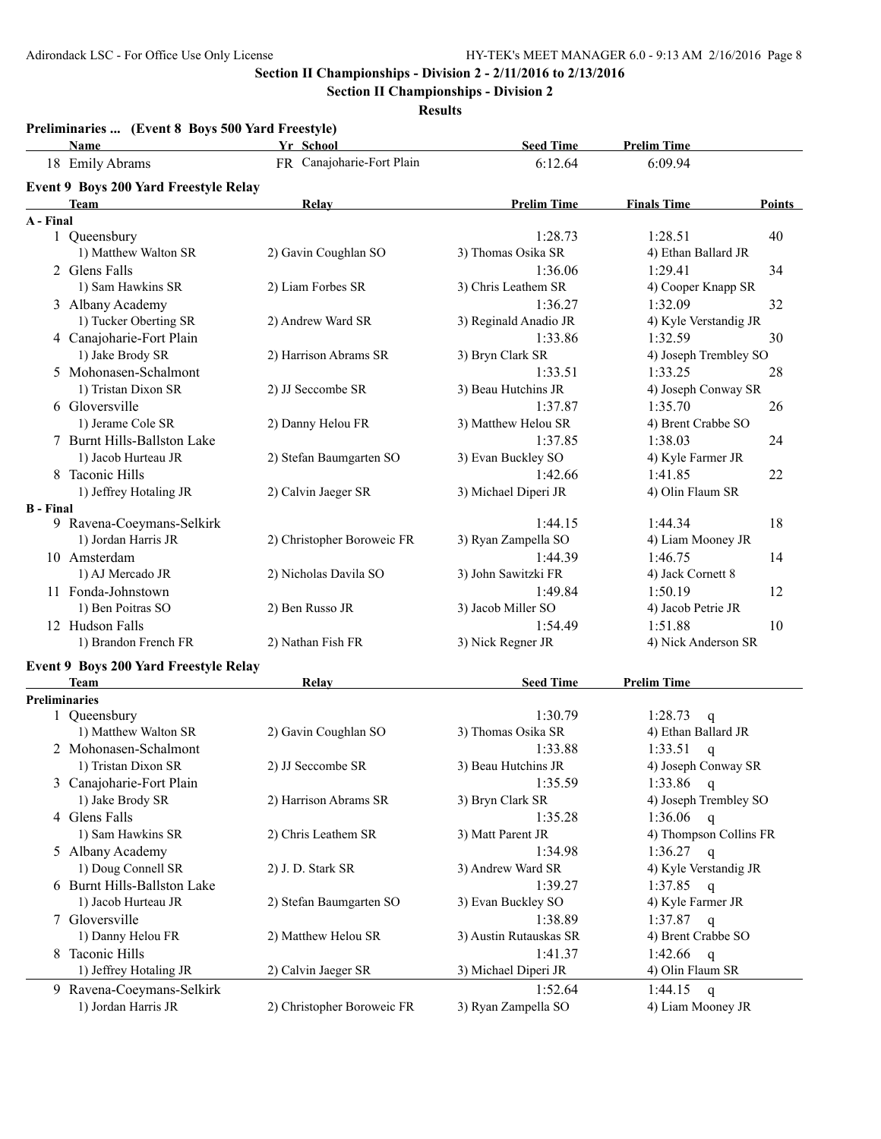**Section II Championships - Division 2**

| Preliminaries  (Event 8 Boys 500 Yard Freestyle)<br>Name | Yr School                  | <b>Seed Time</b>       | <b>Prelim Time</b>           |
|----------------------------------------------------------|----------------------------|------------------------|------------------------------|
| 18 Emily Abrams                                          | FR Canajoharie-Fort Plain  | 6:12.64                | 6:09.94                      |
| Event 9 Boys 200 Yard Freestyle Relay                    |                            |                        |                              |
| <b>Team</b>                                              | Relay                      | <b>Prelim Time</b>     | Points<br><b>Finals Time</b> |
| A - Final                                                |                            |                        |                              |
| 1 Queensbury                                             |                            | 1:28.73                | 1:28.51<br>40                |
| 1) Matthew Walton SR                                     | 2) Gavin Coughlan SO       | 3) Thomas Osika SR     | 4) Ethan Ballard JR          |
| 2 Glens Falls                                            |                            | 1:36.06                | 1:29.41<br>34                |
| 1) Sam Hawkins SR                                        | 2) Liam Forbes SR          | 3) Chris Leathem SR    | 4) Cooper Knapp SR           |
|                                                          |                            |                        |                              |
| 3 Albany Academy                                         |                            | 1:36.27                | 1:32.09<br>32                |
| 1) Tucker Oberting SR                                    | 2) Andrew Ward SR          | 3) Reginald Anadio JR  | 4) Kyle Verstandig JR        |
| 4 Canajoharie-Fort Plain                                 |                            | 1:33.86                | 1:32.59<br>30                |
| 1) Jake Brody SR                                         | 2) Harrison Abrams SR      | 3) Bryn Clark SR       | 4) Joseph Trembley SO        |
| 5 Mohonasen-Schalmont                                    |                            | 1:33.51                | 1:33.25<br>28                |
| 1) Tristan Dixon SR                                      | 2) JJ Seccombe SR          | 3) Beau Hutchins JR    | 4) Joseph Conway SR          |
| 6 Gloversville                                           |                            | 1:37.87                | 1:35.70<br>26                |
| 1) Jerame Cole SR                                        | 2) Danny Helou FR          | 3) Matthew Helou SR    | 4) Brent Crabbe SO           |
| 7 Burnt Hills-Ballston Lake                              |                            | 1:37.85                | 1:38.03<br>24                |
| 1) Jacob Hurteau JR                                      | 2) Stefan Baumgarten SO    | 3) Evan Buckley SO     | 4) Kyle Farmer JR            |
| 8 Taconic Hills                                          |                            | 1:42.66                | 1:41.85<br>22                |
| 1) Jeffrey Hotaling JR                                   | 2) Calvin Jaeger SR        | 3) Michael Diperi JR   | 4) Olin Flaum SR             |
| <b>B</b> - Final                                         |                            |                        |                              |
| 9 Ravena-Coeymans-Selkirk                                |                            | 1:44.15                | 18<br>1:44.34                |
| 1) Jordan Harris JR                                      | 2) Christopher Boroweic FR | 3) Ryan Zampella SO    | 4) Liam Mooney JR            |
| 10 Amsterdam                                             |                            | 1:44.39                | 1:46.75<br>14                |
| 1) AJ Mercado JR                                         | 2) Nicholas Davila SO      | 3) John Sawitzki FR    | 4) Jack Cornett 8            |
| 11 Fonda-Johnstown                                       |                            | 1:49.84                | 1:50.19<br>12                |
| 1) Ben Poitras SO                                        | 2) Ben Russo JR            | 3) Jacob Miller SO     | 4) Jacob Petrie JR           |
| 12 Hudson Falls                                          |                            | 1:54.49                | 1:51.88<br>10                |
| 1) Brandon French FR                                     | 2) Nathan Fish FR          | 3) Nick Regner JR      | 4) Nick Anderson SR          |
|                                                          |                            |                        |                              |
| Event 9 Boys 200 Yard Freestyle Relay                    |                            |                        |                              |
| <b>Team</b>                                              | Relay                      | <b>Seed Time</b>       | <b>Prelim Time</b>           |
| <b>Preliminaries</b>                                     |                            |                        |                              |
| 1 Queensbury                                             |                            | 1:30.79                | 1:28.73<br>$\mathbf q$       |
| 1) Matthew Walton SR                                     | 2) Gavin Coughlan SO       | 3) Thomas Osika SR     | 4) Ethan Ballard JR          |
| 2 Mohonasen-Schalmont                                    |                            | 1:33.88                | 1:33.51<br>q                 |
| 1) Tristan Dixon SR                                      | 2) JJ Seccombe SR          | 3) Beau Hutchins JR    | 4) Joseph Conway SR          |
| 3 Canajoharie-Fort Plain                                 |                            | 1:35.59                | 1:33.86<br>q                 |
| 1) Jake Brody SR                                         | 2) Harrison Abrams SR      | 3) Bryn Clark SR       | 4) Joseph Trembley SO        |
| 4 Glens Falls                                            |                            | 1:35.28                | 1:36.06<br>q                 |
| 1) Sam Hawkins SR                                        | 2) Chris Leathem SR        | 3) Matt Parent JR      | 4) Thompson Collins FR       |
| 5 Albany Academy                                         |                            | 1:34.98                | 1:36.27<br>$\mathbf{q}$      |
| 1) Doug Connell SR                                       | 2) J. D. Stark SR          | 3) Andrew Ward SR      | 4) Kyle Verstandig JR        |
| 6 Burnt Hills-Ballston Lake                              |                            | 1:39.27                | 1:37.85<br>$\mathbf{q}$      |
| 1) Jacob Hurteau JR                                      | 2) Stefan Baumgarten SO    | 3) Evan Buckley SO     | 4) Kyle Farmer JR            |
| 7 Gloversville                                           |                            | 1:38.89                | 1:37.87<br>$\mathsf{q}$      |
| 1) Danny Helou FR                                        | 2) Matthew Helou SR        | 3) Austin Rutauskas SR | 4) Brent Crabbe SO           |
| 8 Taconic Hills                                          |                            | 1:41.37                | 1:42.66<br>$\mathsf{q}$      |
| 1) Jeffrey Hotaling JR                                   | 2) Calvin Jaeger SR        | 3) Michael Diperi JR   | 4) Olin Flaum SR             |
|                                                          |                            |                        |                              |
| 9 Ravena-Coeymans-Selkirk                                |                            | 1:52.64                | 1:44.15<br>$\mathbf{q}$      |
| 1) Jordan Harris JR                                      | 2) Christopher Boroweic FR | 3) Ryan Zampella SO    | 4) Liam Mooney JR            |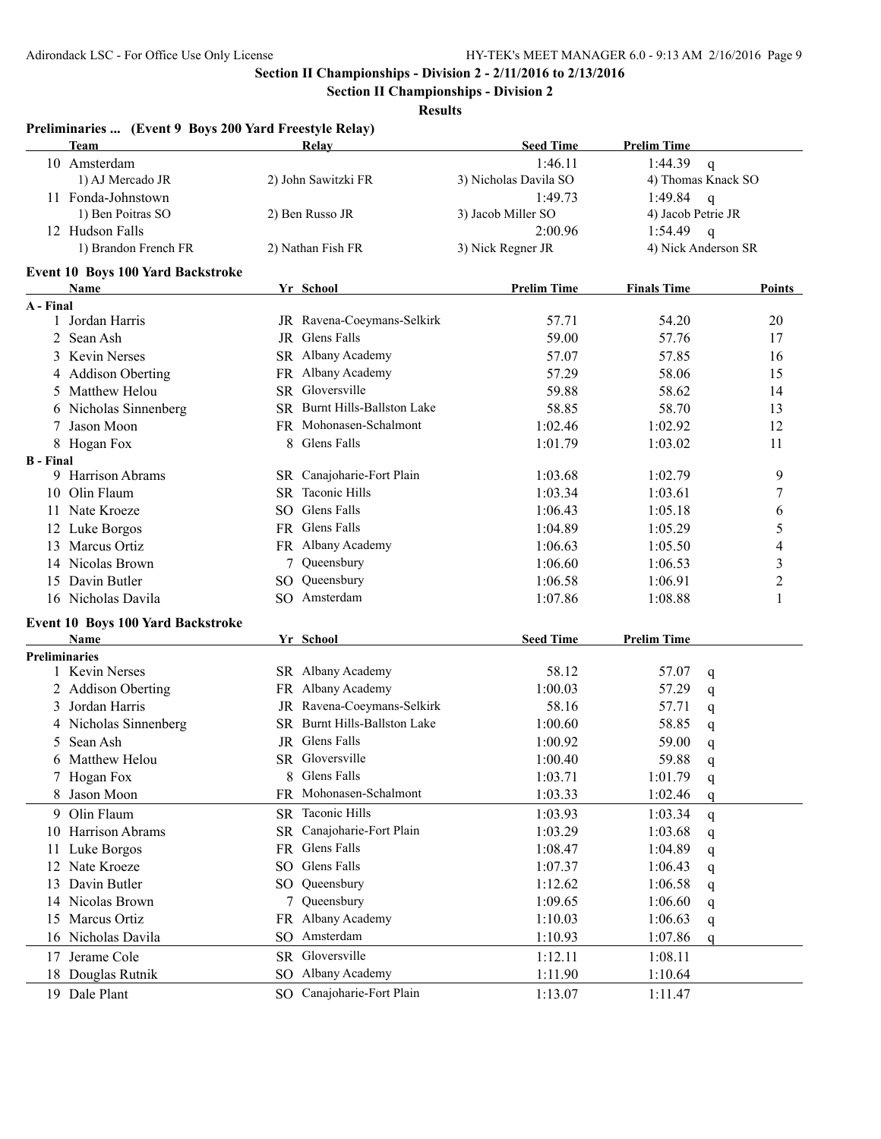**Preliminaries ... (Event 9 Boys 200 Yard Freestyle Relay)**

**Section II Championships - Division 2 - 2/11/2016 to 2/13/2016**

**Section II Championships - Division 2**

|                  | <b>Team</b>                              |     | Relay                        | <b>Seed Time</b>      | <b>Prelim Time</b> |                          |
|------------------|------------------------------------------|-----|------------------------------|-----------------------|--------------------|--------------------------|
|                  | 10 Amsterdam                             |     |                              | 1:46.11               | 1:44.39            | $\mathbf q$              |
|                  | 1) AJ Mercado JR                         |     | 2) John Sawitzki FR          | 3) Nicholas Davila SO |                    | 4) Thomas Knack SO       |
|                  | 11 Fonda-Johnstown                       |     |                              | 1:49.73               | 1:49.84            | $\mathsf{q}$             |
|                  | 1) Ben Poitras SO                        |     | 2) Ben Russo JR              | 3) Jacob Miller SO    | 4) Jacob Petrie JR |                          |
|                  | 12 Hudson Falls                          |     |                              | 2:00.96               | 1:54.49            | $\mathbf{q}$             |
|                  | 1) Brandon French FR                     |     | 2) Nathan Fish FR            | 3) Nick Regner JR     |                    | 4) Nick Anderson SR      |
|                  | <b>Event 10 Boys 100 Yard Backstroke</b> |     |                              |                       |                    |                          |
|                  | Name                                     |     | Yr School                    | <b>Prelim Time</b>    | <b>Finals Time</b> | <b>Points</b>            |
| A - Final        |                                          |     |                              |                       |                    |                          |
|                  | 1 Jordan Harris                          |     | JR Ravena-Coeymans-Selkirk   | 57.71                 | 54.20              | 20                       |
|                  | 2 Sean Ash                               |     | JR Glens Falls               | 59.00                 | 57.76              | 17                       |
|                  | 3 Kevin Nerses                           |     | SR Albany Academy            | 57.07                 | 57.85              | 16                       |
|                  | 4 Addison Oberting                       |     | FR Albany Academy            | 57.29                 | 58.06              | 15                       |
|                  | 5 Matthew Helou                          |     | SR Gloversville              | 59.88                 | 58.62              | 14                       |
|                  | 6 Nicholas Sinnenberg                    |     | SR Burnt Hills-Ballston Lake | 58.85                 | 58.70              | 13                       |
|                  | Jason Moon                               |     | FR Mohonasen-Schalmont       | 1:02.46               | 1:02.92            | 12                       |
|                  | 8 Hogan Fox                              | 8   | Glens Falls                  | 1:01.79               | 1:03.02            | 11                       |
| <b>B</b> - Final |                                          |     |                              |                       |                    |                          |
|                  | 9 Harrison Abrams                        |     | SR Canajoharie-Fort Plain    | 1:03.68               | 1:02.79            | 9                        |
|                  | 10 Olin Flaum                            |     | SR Taconic Hills             | 1:03.34               | 1:03.61            | 7                        |
|                  | 11 Nate Kroeze                           |     | SO Glens Falls               | 1:06.43               | 1:05.18            | 6                        |
|                  | 12 Luke Borgos                           |     | FR Glens Falls               | 1:04.89               | 1:05.29            | 5                        |
|                  | 13 Marcus Ortiz                          |     | FR Albany Academy            | 1:06.63               | 1:05.50            | $\overline{\mathcal{L}}$ |
|                  | 14 Nicolas Brown                         | 7   | Queensbury                   | 1:06.60               | 1:06.53            | $\overline{\mathbf{3}}$  |
|                  | 15 Davin Butler                          |     | SO Queensbury                | 1:06.58               | 1:06.91            | $\overline{c}$           |
|                  | 16 Nicholas Davila                       |     | SO Amsterdam                 | 1:07.86               | 1:08.88            | 1                        |
|                  | Event 10 Boys 100 Yard Backstroke        |     |                              |                       |                    |                          |
|                  | Name                                     |     | Yr School                    | <b>Seed Time</b>      | <b>Prelim Time</b> |                          |
|                  | <b>Preliminaries</b>                     |     |                              |                       |                    |                          |
|                  | 1 Kevin Nerses                           |     | SR Albany Academy            | 58.12                 | 57.07              | q                        |
|                  | 2 Addison Oberting                       |     | FR Albany Academy            | 1:00.03               | 57.29              | q                        |
|                  | 3 Jordan Harris                          |     | JR Ravena-Coeymans-Selkirk   | 58.16                 | 57.71              | q                        |
|                  | 4 Nicholas Sinnenberg                    |     | SR Burnt Hills-Ballston Lake | 1:00.60               | 58.85              | q                        |
|                  | 5 Sean Ash                               |     | JR Glens Falls               | 1:00.92               | 59.00              | q                        |
|                  | 6 Matthew Helou                          |     | SR Gloversville              | 1:00.40               | 59.88              | q                        |
|                  | 7 Hogan Fox                              |     | 8 Glens Falls                | 1:03.71               | 1:01.79            | q                        |
|                  | 8 Jason Moon                             |     | FR Mohonasen-Schalmont       | 1:03.33               | 1:02.46            | q                        |
|                  | 9 Olin Flaum                             |     | SR Taconic Hills             | 1:03.93               | 1:03.34            | q                        |
|                  | 10 Harrison Abrams                       |     | SR Canajoharie-Fort Plain    | 1:03.29               | 1:03.68            | q                        |
| 11.              | Luke Borgos                              |     | FR Glens Falls               | 1:08.47               | 1:04.89            | q                        |
|                  | 12 Nate Kroeze                           | SO. | Glens Falls                  | 1:07.37               | 1:06.43            | q                        |
|                  | 13 Davin Butler                          |     | SO Queensbury                | 1:12.62               | 1:06.58            | q                        |
|                  | 14 Nicolas Brown                         |     | 7 Queensbury                 | 1:09.65               | 1:06.60            |                          |
|                  | 15 Marcus Ortiz                          |     | FR Albany Academy            | 1:10.03               | 1:06.63            | q                        |
|                  | 16 Nicholas Davila                       | SO  | Amsterdam                    | 1:10.93               | 1:07.86            | q                        |
|                  |                                          |     | SR Gloversville              |                       |                    | q                        |
| 17               | Jerame Cole                              |     |                              | 1:12.11               | 1:08.11            |                          |
|                  | 18 Douglas Rutnik                        |     | SO Albany Academy            | 1:11.90               | 1:10.64            |                          |
|                  | 19 Dale Plant                            |     | SO Canajoharie-Fort Plain    | 1:13.07               | 1:11.47            |                          |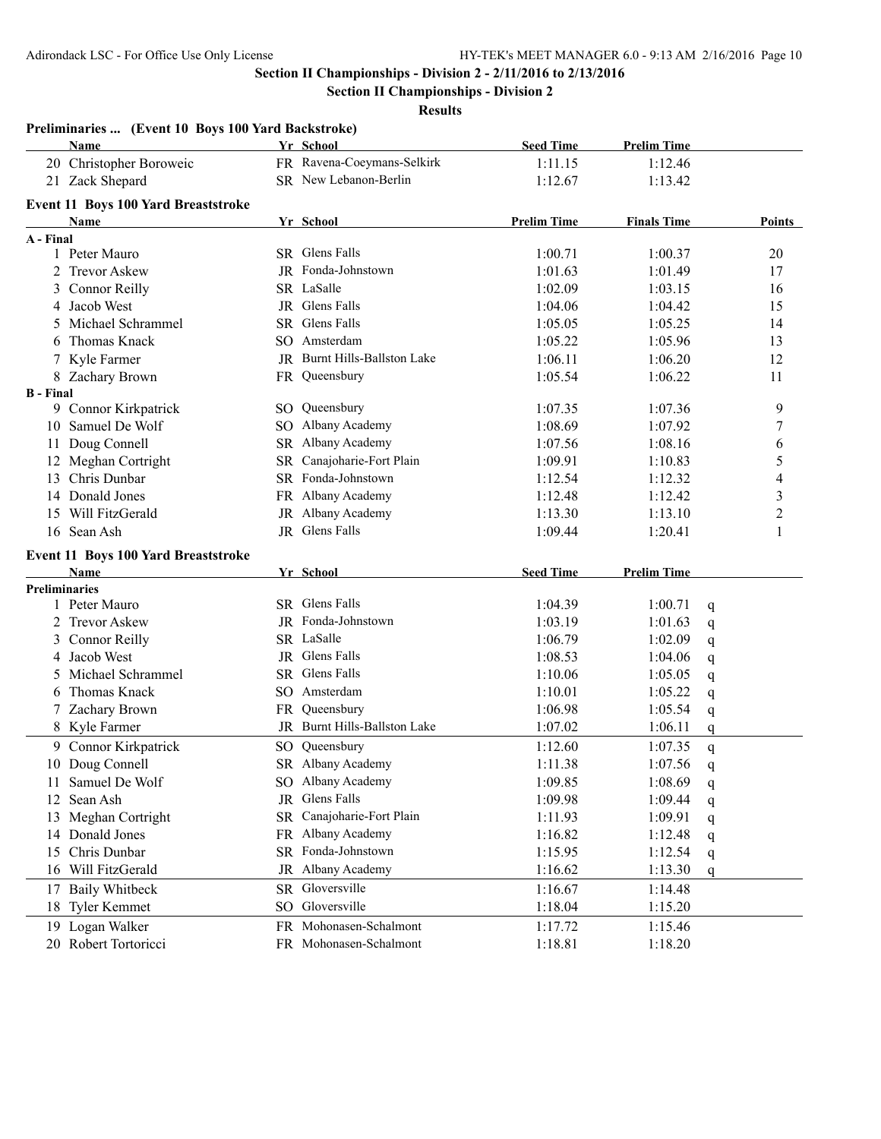**Section II Championships - Division 2**

| Preliminaries  (Event 10 Boys 100 Yard Backstroke) |     |                              |                    |                    |              |                |
|----------------------------------------------------|-----|------------------------------|--------------------|--------------------|--------------|----------------|
| <b>Name</b>                                        |     | Yr School                    | <b>Seed Time</b>   | <b>Prelim Time</b> |              |                |
| 20 Christopher Boroweic                            |     | FR Ravena-Coeymans-Selkirk   | 1:11.15            | 1:12.46            |              |                |
| 21 Zack Shepard                                    |     | SR New Lebanon-Berlin        | 1:12.67            | 1:13.42            |              |                |
| Event 11 Boys 100 Yard Breaststroke                |     |                              |                    |                    |              |                |
| Name                                               |     | Yr School                    | <b>Prelim Time</b> | <b>Finals Time</b> |              | Points         |
| A - Final                                          |     |                              |                    |                    |              |                |
| 1 Peter Mauro                                      |     | SR Glens Falls               | 1:00.71            | 1:00.37            |              | 20             |
| 2 Trevor Askew                                     |     | JR Fonda-Johnstown           | 1:01.63            | 1:01.49            |              | 17             |
| 3 Connor Reilly                                    |     | SR LaSalle                   | 1:02.09            | 1:03.15            |              | 16             |
| 4 Jacob West                                       |     | <b>JR</b> Glens Falls        | 1:04.06            | 1:04.42            |              | 15             |
| Michael Schrammel<br>5.                            |     | SR Glens Falls               | 1:05.05            | 1:05.25            |              | 14             |
| Thomas Knack<br>6.                                 |     | SO Amsterdam                 | 1:05.22            | 1:05.96            |              | 13             |
| 7 Kyle Farmer                                      |     | JR Burnt Hills-Ballston Lake | 1:06.11            | 1:06.20            |              | 12             |
| 8 Zachary Brown                                    |     | FR Queensbury                | 1:05.54            | 1:06.22            |              | 11             |
| <b>B</b> - Final                                   |     |                              |                    |                    |              |                |
| 9 Connor Kirkpatrick                               |     | SO Queensbury                | 1:07.35            | 1:07.36            |              | 9              |
| 10 Samuel De Wolf                                  |     | SO Albany Academy            | 1:08.69            | 1:07.92            |              | 7              |
| Doug Connell<br>11                                 |     | SR Albany Academy            | 1:07.56            | 1:08.16            |              | 6              |
| 12 Meghan Cortright                                |     | SR Canajoharie-Fort Plain    | 1:09.91            | 1:10.83            |              | 5              |
| 13 Chris Dunbar                                    |     | SR Fonda-Johnstown           | 1:12.54            | 1:12.32            |              | $\overline{4}$ |
| 14 Donald Jones                                    |     | FR Albany Academy            | 1:12.48            | 1:12.42            |              | 3              |
| 15 Will FitzGerald                                 |     | JR Albany Academy            | 1:13.30            | 1:13.10            |              | $\overline{c}$ |
| 16 Sean Ash                                        |     | JR Glens Falls               | 1:09.44            | 1:20.41            |              | 1              |
| Event 11 Boys 100 Yard Breaststroke                |     |                              |                    |                    |              |                |
| Name                                               |     | Yr School                    | <b>Seed Time</b>   | <b>Prelim Time</b> |              |                |
| <b>Preliminaries</b>                               |     |                              |                    |                    |              |                |
| 1 Peter Mauro                                      |     | SR Glens Falls               | 1:04.39            | 1:00.71            | q            |                |
| 2 Trevor Askew                                     |     | JR Fonda-Johnstown           | 1:03.19            | 1:01.63            | q            |                |
| 3 Connor Reilly                                    |     | SR LaSalle                   | 1:06.79            | 1:02.09            | q            |                |
| 4 Jacob West                                       |     | JR Glens Falls               | 1:08.53            | 1:04.06            | q            |                |
| 5 Michael Schrammel                                |     | SR Glens Falls               | 1:10.06            | 1:05.05            | $\mathsf{q}$ |                |
| Thomas Knack<br>6.                                 |     | SO Amsterdam                 | 1:10.01            | 1:05.22            | q            |                |
| 7 Zachary Brown                                    | FR. | Queensbury                   | 1:06.98            | 1:05.54            | q            |                |
| 8 Kyle Farmer                                      |     | JR Burnt Hills-Ballston Lake | 1:07.02            | 1:06.11            | q            |                |
| 9 Connor Kirkpatrick                               |     | SO Queensbury                | 1:12.60            | 1:07.35            | q            |                |
| 10 Doug Connell                                    |     | SR Albany Academy            | 1:11.38            | 1:07.56            | $\mathsf{q}$ |                |
| 11 Samuel De Wolf                                  |     | SO Albany Academy            | 1:09.85            | 1:08.69            | q            |                |
| 12 Sean Ash                                        |     | JR Glens Falls               | 1:09.98            | 1:09.44            | q            |                |
| 13 Meghan Cortright                                |     | SR Canajoharie-Fort Plain    | 1:11.93            | 1:09.91            | q            |                |
| 14 Donald Jones                                    |     | FR Albany Academy            | 1:16.82            | 1:12.48            | q            |                |
| 15 Chris Dunbar                                    |     | SR Fonda-Johnstown           | 1:15.95            | 1:12.54            | q            |                |
| 16 Will FitzGerald                                 |     | JR Albany Academy            | 1:16.62            | 1:13.30            | q            |                |
| 17 Baily Whitbeck                                  |     | SR Gloversville              | 1:16.67            | 1:14.48            |              |                |
| 18 Tyler Kemmet                                    |     | SO Gloversville              | 1:18.04            | 1:15.20            |              |                |
| 19 Logan Walker                                    |     | FR Mohonasen-Schalmont       | 1:17.72            | 1:15.46            |              |                |
| 20 Robert Tortoricci                               |     | FR Mohonasen-Schalmont       | 1:18.81            | 1:18.20            |              |                |
|                                                    |     |                              |                    |                    |              |                |